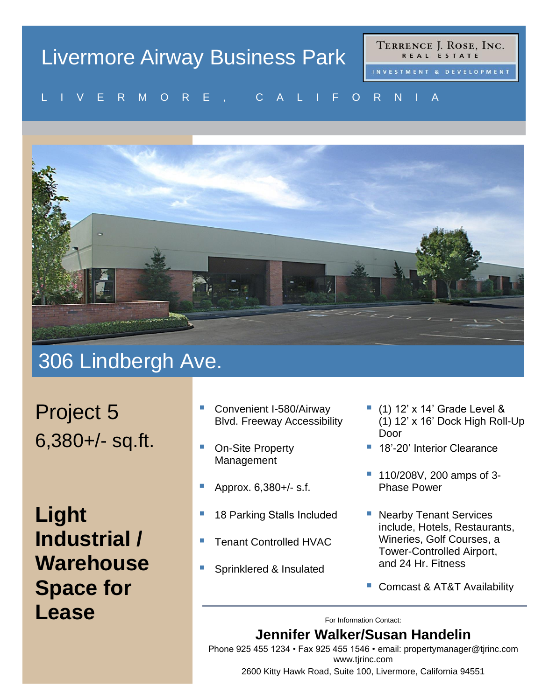# Livermore Airway Business Park

TERRENCE J. ROSE, INC. REAL ESTATE

#### V E R MU R E , U A L I F U R N I A L I V E R M O R E , C A L I F O R N I A



### 306 Lindbergh Ave.

Project 5 6,380+/- sq.ft.

**Light Industrial / Warehouse Space for Lease** For Information Contact:

- Convenient I-580/Airway Blvd. Freeway Accessibility
- On-Site Property Management
- Approx. 6,380+/- s.f.
- 18 Parking Stalls Included
- **Tenant Controlled HVAC**
- Sprinklered & Insulated
- $(1)$  12' x 14' Grade Level & (1) 12' x 16' Dock High Roll-Up Door
- 18'-20' Interior Clearance
- 110/208V, 200 amps of 3-Phase Power
- Nearby Tenant Services include, Hotels, Restaurants, Wineries, Golf Courses, a Tower-Controlled Airport, and 24 Hr. Fitness
- Comcast & AT&T Availability

#### **Jennifer Walker/Susan Handelin**

Phone 925 455 1234 • Fax 925 455 1546 • email: [propertymanager@tjrinc.com](mailto:propertymanager@tjrinc.com) www.tjrinc.com

2600 Kitty Hawk Road, Suite 100, Livermore, California 94551